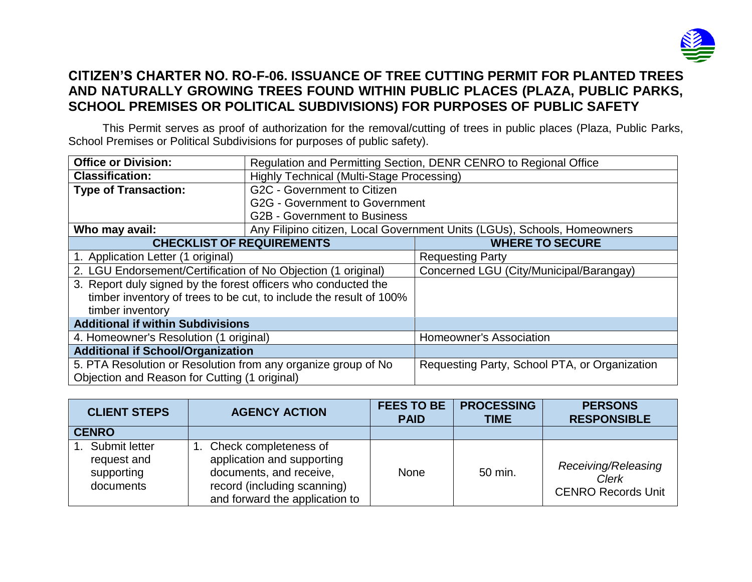

## **CITIZEN'S CHARTER NO. RO-F-06. ISSUANCE OF TREE CUTTING PERMIT FOR PLANTED TREES AND NATURALLY GROWING TREES FOUND WITHIN PUBLIC PLACES (PLAZA, PUBLIC PARKS, SCHOOL PREMISES OR POLITICAL SUBDIVISIONS) FOR PURPOSES OF PUBLIC SAFETY**

This Permit serves as proof of authorization for the removal/cutting of trees in public places (Plaza, Public Parks, School Premises or Political Subdivisions for purposes of public safety).

| <b>Office or Division:</b>                                         | Regulation and Permitting Section, DENR CENRO to Regional Office |                                                                          |  |  |  |
|--------------------------------------------------------------------|------------------------------------------------------------------|--------------------------------------------------------------------------|--|--|--|
| <b>Classification:</b>                                             | Highly Technical (Multi-Stage Processing)                        |                                                                          |  |  |  |
| <b>Type of Transaction:</b>                                        | G2C - Government to Citizen                                      |                                                                          |  |  |  |
|                                                                    | <b>G2G - Government to Government</b>                            |                                                                          |  |  |  |
|                                                                    | <b>G2B - Government to Business</b>                              |                                                                          |  |  |  |
| Who may avail:                                                     |                                                                  | Any Filipino citizen, Local Government Units (LGUs), Schools, Homeowners |  |  |  |
| <b>CHECKLIST OF REQUIREMENTS</b>                                   |                                                                  | <b>WHERE TO SECURE</b>                                                   |  |  |  |
| 1. Application Letter (1 original)                                 |                                                                  | <b>Requesting Party</b>                                                  |  |  |  |
| 2. LGU Endorsement/Certification of No Objection (1 original)      |                                                                  | Concerned LGU (City/Municipal/Barangay)                                  |  |  |  |
| 3. Report duly signed by the forest officers who conducted the     |                                                                  |                                                                          |  |  |  |
| timber inventory of trees to be cut, to include the result of 100% |                                                                  |                                                                          |  |  |  |
| timber inventory                                                   |                                                                  |                                                                          |  |  |  |
| <b>Additional if within Subdivisions</b>                           |                                                                  |                                                                          |  |  |  |
| 4. Homeowner's Resolution (1 original)                             |                                                                  | Homeowner's Association                                                  |  |  |  |
| <b>Additional if School/Organization</b>                           |                                                                  |                                                                          |  |  |  |
| 5. PTA Resolution or Resolution from any organize group of No      |                                                                  | Requesting Party, School PTA, or Organization                            |  |  |  |
| Objection and Reason for Cutting (1 original)                      |                                                                  |                                                                          |  |  |  |

| <b>CLIENT STEPS</b>                                        | <b>AGENCY ACTION</b>                                                                                                                               |      | <b>PROCESSING</b><br><b>TIME</b> | <b>PERSONS</b><br><b>RESPONSIBLE</b>                             |
|------------------------------------------------------------|----------------------------------------------------------------------------------------------------------------------------------------------------|------|----------------------------------|------------------------------------------------------------------|
| <b>CENRO</b>                                               |                                                                                                                                                    |      |                                  |                                                                  |
| 1. Submit letter<br>request and<br>supporting<br>documents | 1. Check completeness of<br>application and supporting<br>documents, and receive,<br>record (including scanning)<br>and forward the application to | None | 50 min.                          | Receiving/Releasing<br><b>Clerk</b><br><b>CENRO Records Unit</b> |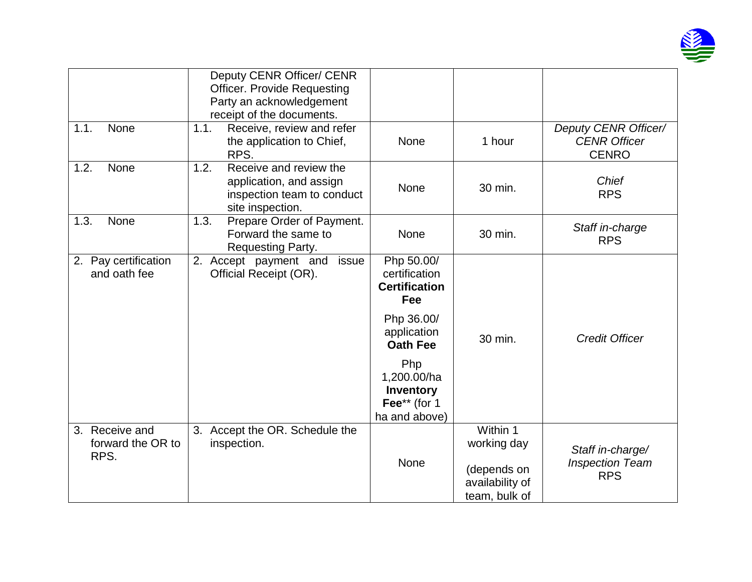

| 1.1.<br>None                                   | Deputy CENR Officer/ CENR<br><b>Officer. Provide Requesting</b><br>Party an acknowledgement<br>receipt of the documents.<br>Receive, review and refer<br>1.1.<br>the application to Chief, | <b>None</b>                                                      | 1 hour                                                                     | Deputy CENR Officer/<br><b>CENR Officer</b>              |
|------------------------------------------------|--------------------------------------------------------------------------------------------------------------------------------------------------------------------------------------------|------------------------------------------------------------------|----------------------------------------------------------------------------|----------------------------------------------------------|
|                                                | RPS.                                                                                                                                                                                       |                                                                  |                                                                            | <b>CENRO</b>                                             |
| None<br>1.2.                                   | Receive and review the<br>1.2.<br>application, and assign<br>inspection team to conduct<br>site inspection.                                                                                | <b>None</b>                                                      | 30 min.                                                                    | <b>Chief</b><br><b>RPS</b>                               |
| 1.3.<br>None                                   | 1.3.<br>Prepare Order of Payment.<br>Forward the same to<br>Requesting Party.                                                                                                              | None                                                             | 30 min.                                                                    | Staff in-charge<br><b>RPS</b>                            |
| 2. Pay certification<br>and oath fee           | 2.<br>Accept payment and<br>issue<br>Official Receipt (OR).                                                                                                                                | Php 50.00/<br>certification<br><b>Certification</b><br>Fee       |                                                                            |                                                          |
|                                                |                                                                                                                                                                                            | Php 36.00/<br>application<br><b>Oath Fee</b>                     | 30 min.                                                                    | <b>Credit Officer</b>                                    |
|                                                |                                                                                                                                                                                            | Php<br>1,200.00/ha<br>Inventory<br>Fee** (for 1<br>ha and above) |                                                                            |                                                          |
| Receive and<br>3.<br>forward the OR to<br>RPS. | 3.<br>Accept the OR. Schedule the<br>inspection.                                                                                                                                           | None                                                             | Within 1<br>working day<br>(depends on<br>availability of<br>team, bulk of | Staff in-charge/<br><b>Inspection Team</b><br><b>RPS</b> |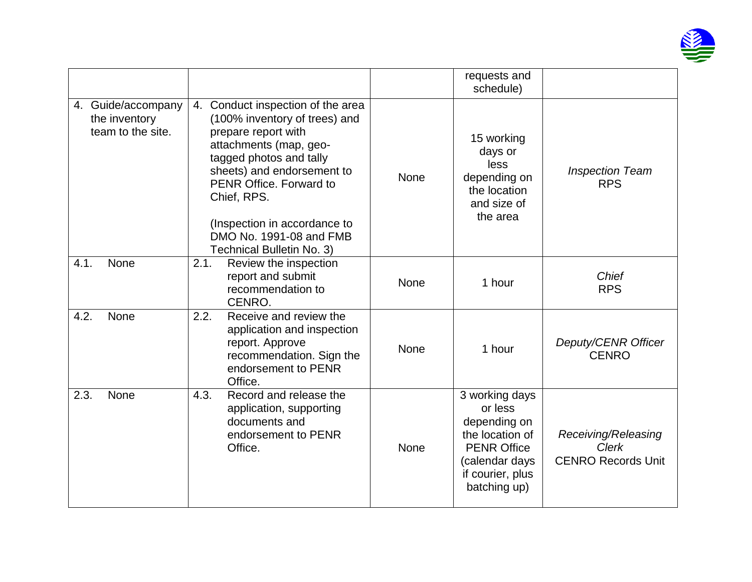

|                                                          |                                                                                                                                                                                                                                                                                                                |      | requests and<br>schedule)                                                                                                                |                                                                  |
|----------------------------------------------------------|----------------------------------------------------------------------------------------------------------------------------------------------------------------------------------------------------------------------------------------------------------------------------------------------------------------|------|------------------------------------------------------------------------------------------------------------------------------------------|------------------------------------------------------------------|
| 4. Guide/accompany<br>the inventory<br>team to the site. | 4. Conduct inspection of the area<br>(100% inventory of trees) and<br>prepare report with<br>attachments (map, geo-<br>tagged photos and tally<br>sheets) and endorsement to<br>PENR Office. Forward to<br>Chief, RPS.<br>(Inspection in accordance to<br>DMO No. 1991-08 and FMB<br>Technical Bulletin No. 3) | None | 15 working<br>days or<br>less<br>depending on<br>the location<br>and size of<br>the area                                                 | <b>Inspection Team</b><br><b>RPS</b>                             |
| 4.1.<br>None                                             | 2.1.<br>Review the inspection<br>report and submit<br>recommendation to<br>CENRO.                                                                                                                                                                                                                              | None | 1 hour                                                                                                                                   | Chief<br><b>RPS</b>                                              |
| <b>None</b><br>4.2.                                      | 2.2.<br>Receive and review the<br>application and inspection<br>report. Approve<br>recommendation. Sign the<br>endorsement to PENR<br>Office.                                                                                                                                                                  | None | 1 hour                                                                                                                                   | Deputy/CENR Officer<br><b>CENRO</b>                              |
| 2.3.<br><b>None</b>                                      | 4.3.<br>Record and release the<br>application, supporting<br>documents and<br>endorsement to PENR<br>Office.                                                                                                                                                                                                   | None | 3 working days<br>or less<br>depending on<br>the location of<br><b>PENR Office</b><br>(calendar days<br>if courier, plus<br>batching up) | Receiving/Releasing<br><b>Clerk</b><br><b>CENRO Records Unit</b> |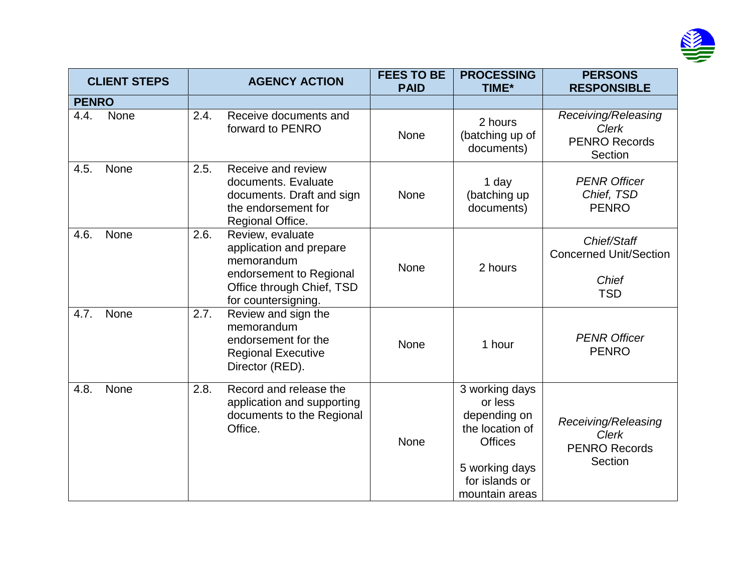

|              | <b>CLIENT STEPS</b> |      | <b>AGENCY ACTION</b>                                                                                                                     | <b>FEES TO BE</b><br><b>PAID</b> | <b>PROCESSING</b><br>TIME*                                                                                                           | <b>PERSONS</b><br><b>RESPONSIBLE</b>                                       |
|--------------|---------------------|------|------------------------------------------------------------------------------------------------------------------------------------------|----------------------------------|--------------------------------------------------------------------------------------------------------------------------------------|----------------------------------------------------------------------------|
| <b>PENRO</b> |                     |      |                                                                                                                                          |                                  |                                                                                                                                      |                                                                            |
| 4.4.         | None                | 2.4. | Receive documents and<br>forward to PENRO                                                                                                | <b>None</b>                      | 2 hours<br>(batching up of<br>documents)                                                                                             | Receiving/Releasing<br><b>Clerk</b><br><b>PENRO Records</b><br>Section     |
| 4.5.         | <b>None</b>         | 2.5. | Receive and review<br>documents. Evaluate<br>documents. Draft and sign<br>the endorsement for<br>Regional Office.                        | <b>None</b>                      | 1 day<br>(batching up<br>documents)                                                                                                  | <b>PENR Officer</b><br>Chief, TSD<br><b>PENRO</b>                          |
| 4.6.         | None                | 2.6. | Review, evaluate<br>application and prepare<br>memorandum<br>endorsement to Regional<br>Office through Chief, TSD<br>for countersigning. | None                             | 2 hours                                                                                                                              | Chief/Staff<br><b>Concerned Unit/Section</b><br><b>Chief</b><br><b>TSD</b> |
| 4.7.         | <b>None</b>         | 2.7. | Review and sign the<br>memorandum<br>endorsement for the<br><b>Regional Executive</b><br>Director (RED).                                 | None                             | 1 hour                                                                                                                               | <b>PENR Officer</b><br><b>PENRO</b>                                        |
| 4.8.         | None                | 2.8. | Record and release the<br>application and supporting<br>documents to the Regional<br>Office.                                             | None                             | 3 working days<br>or less<br>depending on<br>the location of<br><b>Offices</b><br>5 working days<br>for islands or<br>mountain areas | Receiving/Releasing<br><b>Clerk</b><br><b>PENRO Records</b><br>Section     |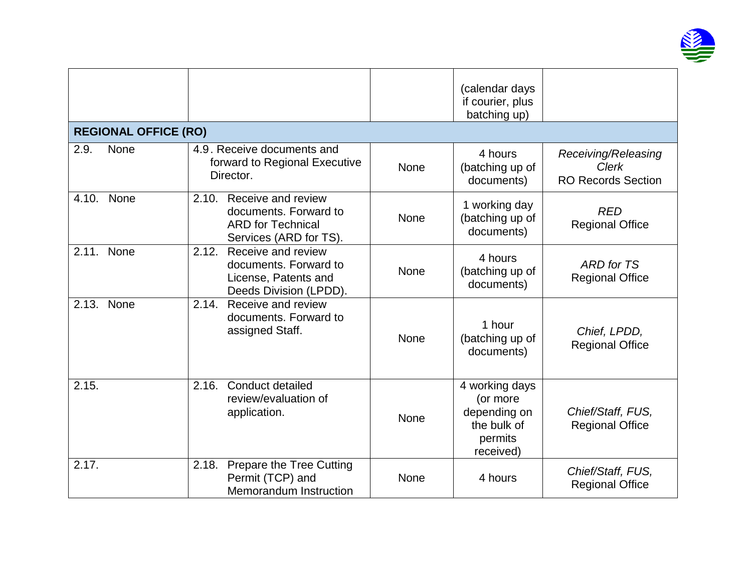

|       |                             |                                                                                                         |             | (calendar days<br>if courier, plus<br>batching up)                                |                                                                  |
|-------|-----------------------------|---------------------------------------------------------------------------------------------------------|-------------|-----------------------------------------------------------------------------------|------------------------------------------------------------------|
|       | <b>REGIONAL OFFICE (RO)</b> |                                                                                                         |             |                                                                                   |                                                                  |
| 2.9.  | None                        | 4.9. Receive documents and<br>forward to Regional Executive<br>Director.                                | <b>None</b> | 4 hours<br>(batching up of<br>documents)                                          | Receiving/Releasing<br><b>Clerk</b><br><b>RO Records Section</b> |
| 4.10. | None                        | 2.10. Receive and review<br>documents. Forward to<br><b>ARD</b> for Technical<br>Services (ARD for TS). | None        | 1 working day<br>(batching up of<br>documents)                                    | <b>RED</b><br><b>Regional Office</b>                             |
| 2.11. | None                        | Receive and review<br>2.12.<br>documents. Forward to<br>License, Patents and<br>Deeds Division (LPDD).  | <b>None</b> | 4 hours<br>(batching up of<br>documents)                                          | ARD for TS<br><b>Regional Office</b>                             |
| 2.13. | None                        | 2.14. Receive and review<br>documents. Forward to<br>assigned Staff.                                    | <b>None</b> | 1 hour<br>(batching up of<br>documents)                                           | Chief, LPDD,<br><b>Regional Office</b>                           |
| 2.15. |                             | Conduct detailed<br>2.16.<br>review/evaluation of<br>application.                                       | None        | 4 working days<br>(or more<br>depending on<br>the bulk of<br>permits<br>received) | Chief/Staff, FUS,<br><b>Regional Office</b>                      |
| 2.17. |                             | <b>Prepare the Tree Cutting</b><br>2.18.<br>Permit (TCP) and<br><b>Memorandum Instruction</b>           | None        | 4 hours                                                                           | Chief/Staff, FUS,<br><b>Regional Office</b>                      |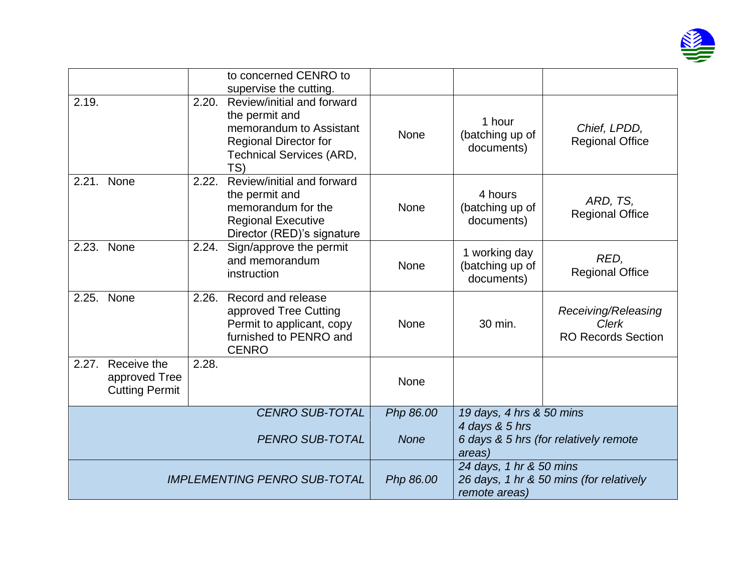

|                                     |                                                       |       | to concerned CENRO to<br>supervise the cutting.                                                                                                   |                                                                                     |                                                |                                                                  |
|-------------------------------------|-------------------------------------------------------|-------|---------------------------------------------------------------------------------------------------------------------------------------------------|-------------------------------------------------------------------------------------|------------------------------------------------|------------------------------------------------------------------|
| 2.19.                               |                                                       | 2.20. | Review/initial and forward<br>the permit and<br>memorandum to Assistant<br><b>Regional Director for</b><br><b>Technical Services (ARD,</b><br>TS) | None                                                                                | 1 hour<br>(batching up of<br>documents)        | Chief, LPDD,<br><b>Regional Office</b>                           |
| 2.21.                               | None                                                  | 2.22. | Review/initial and forward<br>the permit and<br>memorandum for the<br><b>Regional Executive</b><br>Director (RED)'s signature                     | None                                                                                | 4 hours<br>(batching up of<br>documents)       | ARD, TS,<br><b>Regional Office</b>                               |
|                                     | 2.23. None                                            | 2.24. | Sign/approve the permit<br>and memorandum<br>instruction                                                                                          | None                                                                                | 1 working day<br>(batching up of<br>documents) | RED,<br><b>Regional Office</b>                                   |
| 2.25.                               | None                                                  |       | 2.26. Record and release<br>approved Tree Cutting<br>Permit to applicant, copy<br>furnished to PENRO and<br><b>CENRO</b>                          | None                                                                                | 30 min.                                        | Receiving/Releasing<br><b>Clerk</b><br><b>RO Records Section</b> |
| 2.27.                               | Receive the<br>approved Tree<br><b>Cutting Permit</b> | 2.28. |                                                                                                                                                   | None                                                                                |                                                |                                                                  |
|                                     |                                                       |       | <b>CENRO SUB-TOTAL</b>                                                                                                                            | Php 86.00                                                                           | 19 days, 4 hrs & 50 mins                       |                                                                  |
| <b>PENRO SUB-TOTAL</b>              |                                                       |       | <b>None</b>                                                                                                                                       | 4 days & 5 hrs<br>areas)                                                            | 6 days & 5 hrs (for relatively remote          |                                                                  |
| <b>IMPLEMENTING PENRO SUB-TOTAL</b> |                                                       |       | Php 86.00                                                                                                                                         | 24 days, 1 hr & 50 mins<br>26 days, 1 hr & 50 mins (for relatively<br>remote areas) |                                                |                                                                  |